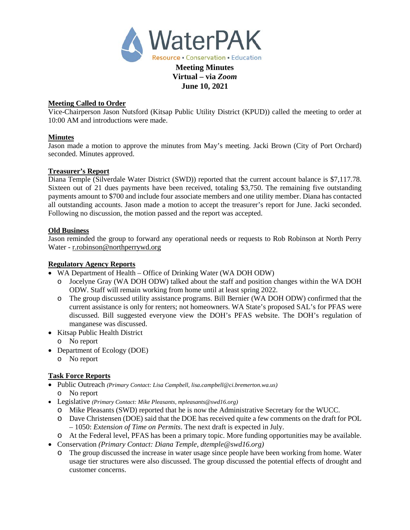

# **June 10, 2021**

## **Meeting Called to Order**

Vice-Chairperson Jason Nutsford (Kitsap Public Utility District (KPUD)) called the meeting to order at 10:00 AM and introductions were made.

## **Minutes**

Jason made a motion to approve the minutes from May's meeting. Jacki Brown (City of Port Orchard) seconded. Minutes approved.

#### **Treasurer's Report**

Diana Temple (Silverdale Water District (SWD)) reported that the current account balance is \$7,117.78. Sixteen out of 21 dues payments have been received, totaling \$3,750. The remaining five outstanding payments amount to \$700 and include four associate members and one utility member. Diana has contacted all outstanding accounts. Jason made a motion to accept the treasurer's report for June. Jacki seconded. Following no discussion, the motion passed and the report was accepted.

#### **Old Business**

Jason reminded the group to forward any operational needs or requests to Rob Robinson at North Perry Water - r.robinson@northperrywd.org

## **Regulatory Agency Reports**

- WA Department of Health Office of Drinking Water (WA DOH ODW)
	- o Jocelyne Gray (WA DOH ODW) talked about the staff and position changes within the WA DOH ODW. Staff will remain working from home until at least spring 2022.
	- o The group discussed utility assistance programs. Bill Bernier (WA DOH ODW) confirmed that the current assistance is only for renters; not homeowners. WA State's proposed SAL's for PFAS were discussed. Bill suggested everyone view the DOH's PFAS website. The DOH's regulation of manganese was discussed.
- Kitsap Public Health District
	- o No report
- Department of Ecology (DOE)
	- o No report

## **Task Force Reports**

- Public Outreach *(Primary Contact: Lisa Campbell, lisa.campbell@ci.bremerton.wa.us)* o No report
- Legislative *(Primary Contact: Mike Pleasants, mpleasants@swd16.org)* 
	- o Mike Pleasants (SWD) reported that he is now the Administrative Secretary for the WUCC.
	- o Dave Christensen (DOE) said that the DOE has received quite a few comments on the draft for POL – 1050: *Extension of Time on Permits*. The next draft is expected in July.
	- o At the Federal level, PFAS has been a primary topic. More funding opportunities may be available.
- Conservation *(Primary Contact: Diana Temple, dtemple@swd16.org)*
	- o The group discussed the increase in water usage since people have been working from home. Water usage tier structures were also discussed. The group discussed the potential effects of drought and customer concerns.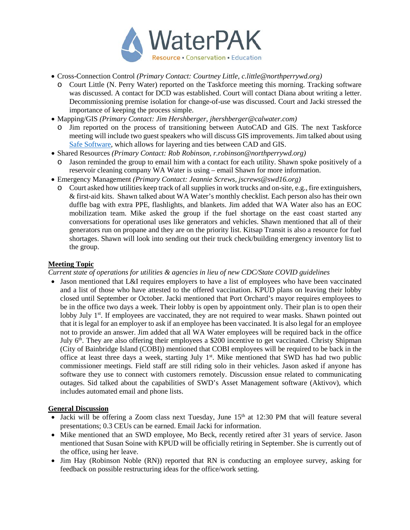

- Cross-Connection Control *(Primary Contact: Courtney Little, [c.little@northperrywd.org\)](mailto:c.little@northperrywd.org)*
	- o Court Little (N. Perry Water) reported on the Taskforce meeting this morning. Tracking software was discussed. A contact for DCD was established. Court will contact Diana about writing a letter. Decommissioning premise isolation for change-of-use was discussed. Court and Jacki stressed the importance of keeping the process simple.
- Mapping/GIS *(Primary Contact: Jim Hershberger, jhershberger@calwater.com)*
	- o Jim reported on the process of transitioning between AutoCAD and GIS. The next Taskforce meeting will include two guest speakers who will discuss GIS improvements. Jim talked about using [Safe Software,](https://www.safe.com/data-types/cad/) which allows for layering and ties between CAD and GIS.
- Shared Resources *(Primary Contact: Rob Robinson, r.robinson@northperrywd.org)*
- Jason reminded the group to email him with a contact for each utility. Shawn spoke positively of a reservoir cleaning company WA Water is using – email Shawn for more information.
- Emergency Management *(Primary Contact: Jeannie Screws, jscrews@swd16.org)*
	- o Court asked how utilities keep track of all supplies in work trucks and on-site, e.g., fire extinguishers, & first-aid kits. Shawn talked about WA Water's monthly checklist. Each person also has their own duffle bag with extra PPE, flashlights, and blankets. Jim added that WA Water also has an EOC mobilization team. Mike asked the group if the fuel shortage on the east coast started any conversations for operational uses like generators and vehicles. Shawn mentioned that all of their generators run on propane and they are on the priority list. Kitsap Transit is also a resource for fuel shortages. Shawn will look into sending out their truck check/building emergency inventory list to the group.

#### **Meeting Topic**

*Current state of operations for utilities & agencies in lieu of new CDC/State COVID guidelines*

• Jason mentioned that L&I requires employers to have a list of employees who have been vaccinated and a list of those who have attested to the offered vaccination. KPUD plans on leaving their lobby closed until September or October. Jacki mentioned that Port Orchard's mayor requires employees to be in the office two days a week. Their lobby is open by appointment only. Their plan is to open their lobby July  $1<sup>st</sup>$ . If employees are vaccinated, they are not required to wear masks. Shawn pointed out that it is legal for an employer to ask if an employee has been vaccinated. It is also legal for an employee not to provide an answer. Jim added that all WA Water employees will be required back in the office July 6<sup>th</sup>. They are also offering their employees a \$200 incentive to get vaccinated. Christy Shipman (City of Bainbridge Island (COBI)) mentioned that COBI employees will be required to be back in the office at least three days a week, starting July 1<sup>st</sup>. Mike mentioned that SWD has had two public commissioner meetings. Field staff are still riding solo in their vehicles. Jason asked if anyone has software they use to connect with customers remotely. Discussion ensue related to communicating outages. Sid talked about the capabilities of SWD's Asset Management software (Aktivov), which includes automated email and phone lists.

## **General Discussion**

- Jacki will be offering a Zoom class next Tuesday, June  $15<sup>th</sup>$  at 12:30 PM that will feature several presentations; 0.3 CEUs can be earned. Email Jacki for information.
- Mike mentioned that an SWD employee, Mo Beck, recently retired after 31 years of service. Jason mentioned that Susan Soine with KPUD will be officially retiring in September. She is currently out of the office, using her leave.
- Jim Hay (Robinson Noble (RN)) reported that RN is conducting an employee survey, asking for feedback on possible restructuring ideas for the office/work setting.